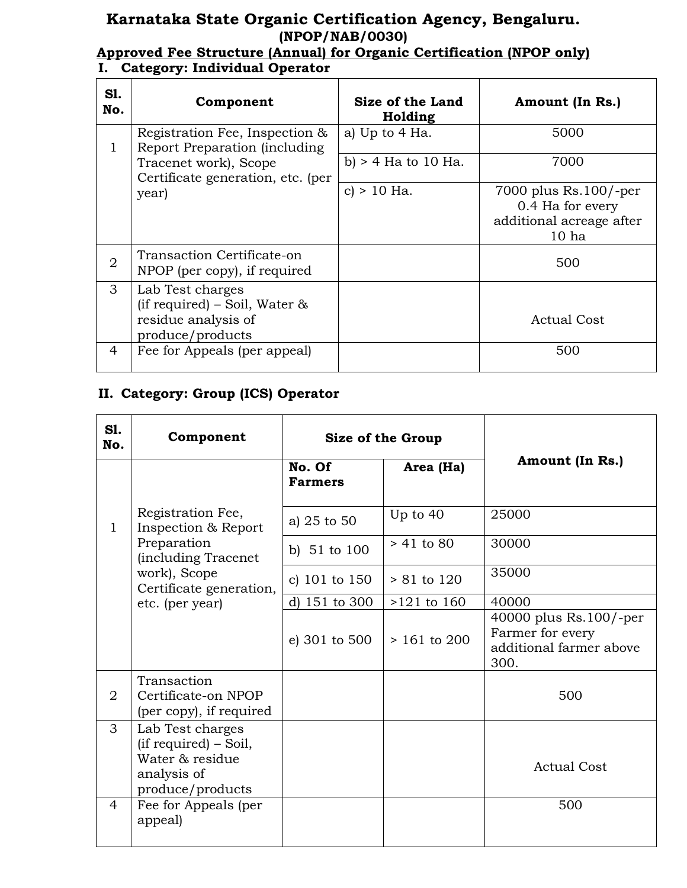### **Karnataka State Organic Certification Agency, Bengaluru. (NPOP/NAB/0030)**

### **Approved Fee Structure (Annual) for Organic Certification (NPOP only) I. Category: Individual Operator**

| S1.<br>No.     | Component                                                                                       | Size of the Land<br>Holding | Amount (In Rs.)                                                                             |
|----------------|-------------------------------------------------------------------------------------------------|-----------------------------|---------------------------------------------------------------------------------------------|
| 1              | Registration Fee, Inspection &<br>Report Preparation (including)                                | a) Up to 4 Ha.              | 5000                                                                                        |
|                | Tracenet work), Scope<br>Certificate generation, etc. (per                                      | b) $>$ 4 Ha to 10 Ha.       | 7000                                                                                        |
|                | year)                                                                                           | c) $> 10$ Ha.               | 7000 plus $Rs.100/-per$<br>0.4 Ha for every<br>additional acreage after<br>10 <sub>ha</sub> |
| $\overline{2}$ | Transaction Certificate-on<br>NPOP (per copy), if required                                      |                             | 500                                                                                         |
| 3              | Lab Test charges<br>(if required) – Soil, Water $\&$<br>residue analysis of<br>produce/products |                             | <b>Actual Cost</b>                                                                          |
| 4              | Fee for Appeals (per appeal)                                                                    |                             | 500                                                                                         |

#### **II. Category: Group (ICS) Operator**

| S1.<br>No.     | Component                                                                                                                                    | Size of the Group        |                |                                                                                 |
|----------------|----------------------------------------------------------------------------------------------------------------------------------------------|--------------------------|----------------|---------------------------------------------------------------------------------|
|                |                                                                                                                                              | No. Of<br><b>Farmers</b> | Area (Ha)      | Amount (In Rs.)                                                                 |
| 1              | Registration Fee,<br>Inspection & Report<br>Preparation<br>(including Tracenet<br>work), Scope<br>Certificate generation,<br>etc. (per year) | a) 25 to 50              | Up to $40$     | 25000                                                                           |
|                |                                                                                                                                              | b) $51$ to $100$         | $> 41$ to 80   | 30000                                                                           |
|                |                                                                                                                                              | c) 101 to 150            | $> 81$ to 120  | 35000                                                                           |
|                |                                                                                                                                              | d) 151 to 300            | $>121$ to 160  | 40000                                                                           |
|                |                                                                                                                                              | e) 301 to 500            | $> 161$ to 200 | 40000 plus $Rs.100/-per$<br>Farmer for every<br>additional farmer above<br>300. |
| $\overline{2}$ | Transaction<br>Certificate-on NPOP<br>(per copy), if required                                                                                |                          |                | 500                                                                             |
| 3              | Lab Test charges<br>(if required) – Soil,<br>Water & residue<br>analysis of<br>produce/products                                              |                          |                | <b>Actual Cost</b>                                                              |
| $\overline{4}$ | Fee for Appeals (per<br>appeal)                                                                                                              |                          |                | 500                                                                             |